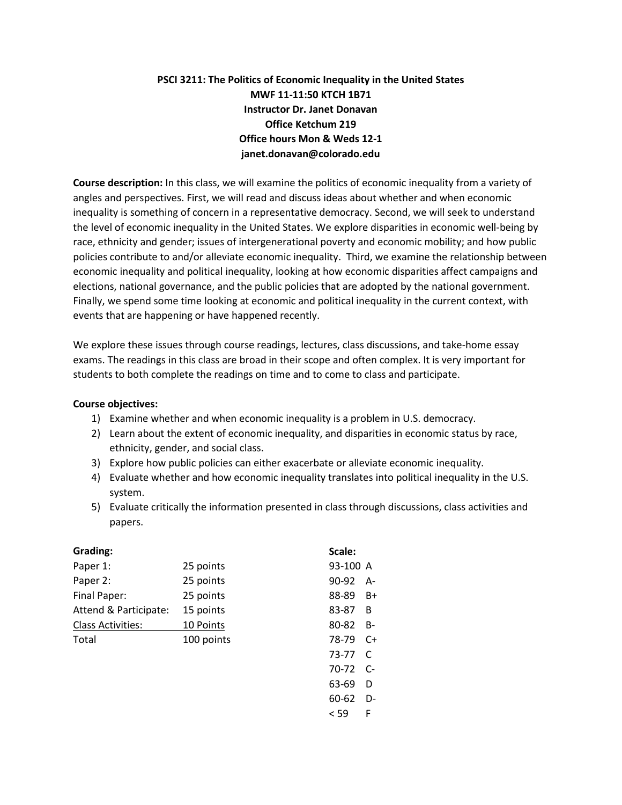# **PSCI 3211: The Politics of Economic Inequality in the United States MWF 11-11:50 KTCH 1B71 Instructor Dr. Janet Donavan Office Ketchum 219 Office hours Mon & Weds 12-1 janet.donavan@colorado.edu**

**Course description:** In this class, we will examine the politics of economic inequality from a variety of angles and perspectives. First, we will read and discuss ideas about whether and when economic inequality is something of concern in a representative democracy. Second, we will seek to understand the level of economic inequality in the United States. We explore disparities in economic well-being by race, ethnicity and gender; issues of intergenerational poverty and economic mobility; and how public policies contribute to and/or alleviate economic inequality. Third, we examine the relationship between economic inequality and political inequality, looking at how economic disparities affect campaigns and elections, national governance, and the public policies that are adopted by the national government. Finally, we spend some time looking at economic and political inequality in the current context, with events that are happening or have happened recently.

We explore these issues through course readings, lectures, class discussions, and take-home essay exams. The readings in this class are broad in their scope and often complex. It is very important for students to both complete the readings on time and to come to class and participate.

# **Course objectives:**

- 1) Examine whether and when economic inequality is a problem in U.S. democracy.
- 2) Learn about the extent of economic inequality, and disparities in economic status by race, ethnicity, gender, and social class.
- 3) Explore how public policies can either exacerbate or alleviate economic inequality.
- 4) Evaluate whether and how economic inequality translates into political inequality in the U.S. system.
- 5) Evaluate critically the information presented in class through discussions, class activities and papers.

| Grading:                 |            | Scale:   |           |
|--------------------------|------------|----------|-----------|
| Paper 1:                 | 25 points  | 93-100 A |           |
| Paper 2:                 | 25 points  | 90-92    | $A-$      |
| Final Paper:             | 25 points  | 88-89    | $B+$      |
| Attend & Participate:    | 15 points  | 83-87    | B         |
| <b>Class Activities:</b> | 10 Points  | 80-82    | <b>B-</b> |
| Total                    | 100 points | 78-79    | $C+$      |
|                          |            | 73-77    | C         |
|                          |            | $70-72$  | C-        |
|                          |            | 63-69    | D         |
|                          |            | 60-62    | D-        |
|                          |            | < 59     | F         |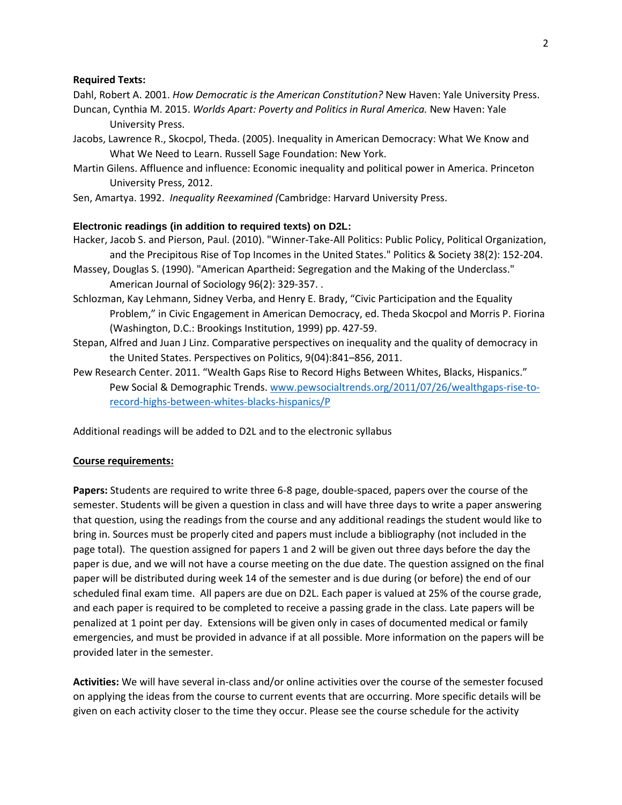#### **Required Texts:**

Dahl, Robert A. 2001. *How Democratic is the American Constitution?* New Haven: Yale University Press.

- Duncan, Cynthia M. 2015. *Worlds Apart: Poverty and Politics in Rural America.* New Haven: Yale University Press.
- Jacobs, Lawrence R., Skocpol, Theda. (2005). Inequality in American Democracy: What We Know and What We Need to Learn. Russell Sage Foundation: New York.
- Martin Gilens. Affluence and influence: Economic inequality and political power in America. Princeton University Press, 2012.
- Sen, Amartya. 1992. *Inequality Reexamined (*Cambridge: Harvard University Press.

# **Electronic readings (in addition to required texts) on D2L:**

- Hacker, Jacob S. and Pierson, Paul. (2010). "Winner-Take-All Politics: Public Policy, Political Organization, and the Precipitous Rise of Top Incomes in the United States." Politics & Society 38(2): 152-204.
- Massey, Douglas S. (1990). "American Apartheid: Segregation and the Making of the Underclass." American Journal of Sociology 96(2): 329-357. .
- Schlozman, Kay Lehmann, Sidney Verba, and Henry E. Brady, "Civic Participation and the Equality Problem," in Civic Engagement in American Democracy, ed. Theda Skocpol and Morris P. Fiorina (Washington, D.C.: Brookings Institution, 1999) pp. 427-59.
- Stepan, Alfred and Juan J Linz. Comparative perspectives on inequality and the quality of democracy in the United States. Perspectives on Politics, 9(04):841–856, 2011.
- Pew Research Center. 2011. "Wealth Gaps Rise to Record Highs Between Whites, Blacks, Hispanics." Pew Social & Demographic Trends. [www.pewsocialtrends.org/2011/07/26/wealthgaps-rise-to](http://www.pewsocialtrends.org/2011/07/26/wealthgaps-rise-to-record-highs-between-whites-blacks-hispanics/)[record-highs-between-whites-blacks-hispanics/P](http://www.pewsocialtrends.org/2011/07/26/wealthgaps-rise-to-record-highs-between-whites-blacks-hispanics/)

Additional readings will be added to D2L and to the electronic syllabus

### **Course requirements:**

**Papers:** Students are required to write three 6-8 page, double-spaced, papers over the course of the semester. Students will be given a question in class and will have three days to write a paper answering that question, using the readings from the course and any additional readings the student would like to bring in. Sources must be properly cited and papers must include a bibliography (not included in the page total). The question assigned for papers 1 and 2 will be given out three days before the day the paper is due, and we will not have a course meeting on the due date. The question assigned on the final paper will be distributed during week 14 of the semester and is due during (or before) the end of our scheduled final exam time. All papers are due on D2L. Each paper is valued at 25% of the course grade, and each paper is required to be completed to receive a passing grade in the class. Late papers will be penalized at 1 point per day. Extensions will be given only in cases of documented medical or family emergencies, and must be provided in advance if at all possible. More information on the papers will be provided later in the semester.

**Activities:** We will have several in-class and/or online activities over the course of the semester focused on applying the ideas from the course to current events that are occurring. More specific details will be given on each activity closer to the time they occur. Please see the course schedule for the activity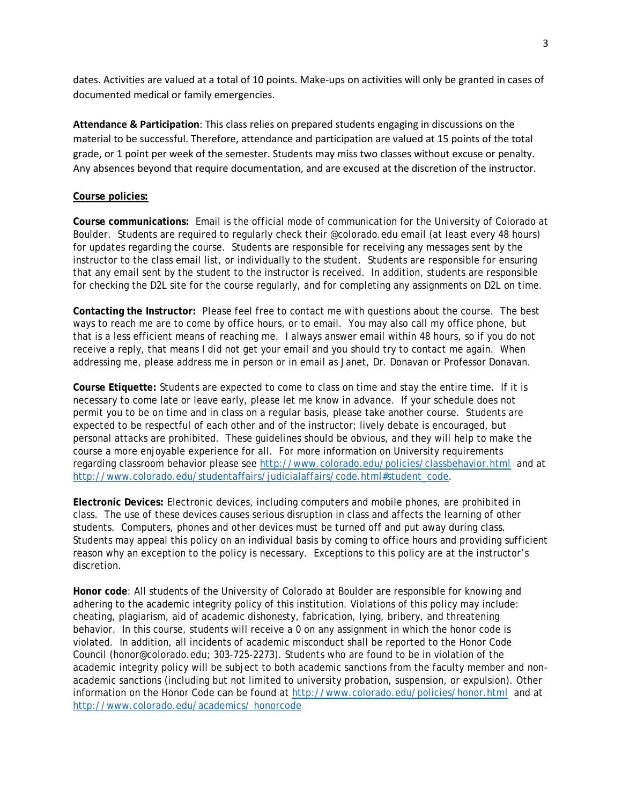dates. Activities are valued at a total of 10 points. Make-ups on activities will only be granted in cases of documented medical or family emergencies.

**Attendance & Participation**: This class relies on prepared students engaging in discussions on the material to be successful. Therefore, attendance and participation are valued at 15 points of the total grade, or 1 point per week of the semester. Students may miss two classes without excuse or penalty. Any absences beyond that require documentation, and are excused at the discretion of the instructor.

### **Course policies:**

**Course communications:** Email is the official mode of communication for the University of Colorado at Boulder. Students are required to regularly check their @colorado.edu email (at least every 48 hours) for updates regarding the course. Students are responsible for receiving any messages sent by the instructor to the class email list, or individually to the student. Students are responsible for ensuring that any email sent by the student to the instructor is received. In addition, students are responsible for checking the D2L site for the course regularly, and for completing any assignments on D2L on time.

**Contacting the Instructor:** Please feel free to contact me with questions about the course. The best ways to reach me are to come by office hours, or to email. You may also call my office phone, but that is a less efficient means of reaching me. I always answer email within 48 hours, so if you do not receive a reply, that means I did not get your email and you should try to contact me again. When addressing me, please address me in person or in email as Janet, Dr. Donavan or Professor Donavan.

**Course Etiquette:** Students are expected to come to class on time and stay the entire time. If it is necessary to come late or leave early, please let me know in advance. If your schedule does not permit you to be on time and in class on a regular basis, please take another course. Students are expected to be respectful of each other and of the instructor; lively debate is encouraged, but personal attacks are prohibited. These guidelines should be obvious, and they will help to make the course a more enjoyable experience for all. For more information on University requirements regarding classroom behavior please see<http://www.colorado.edu/policies/classbehavior.html>and at [http://www.colorado.edu/studentaffairs/judicialaffairs/code.html#student\\_code.](http://www.colorado.edu/studentaffairs/judicialaffairs/code.html#student_code)

**Electronic Devices:** Electronic devices, including computers and mobile phones, are prohibited in class. The use of these devices causes serious disruption in class and affects the learning of other students. Computers, phones and other devices must be turned off and put away during class. Students may appeal this policy on an individual basis by coming to office hours and providing sufficient reason why an exception to the policy is necessary. Exceptions to this policy are at the instructor's discretion.

**Honor code**: All students of the University of Colorado at Boulder are responsible for knowing and adhering to the academic integrity policy of this institution. Violations of this policy may include: cheating, plagiarism, aid of academic dishonesty, fabrication, lying, bribery, and threatening behavior. In this course, students will receive a 0 on any assignment in which the honor code is violated. In addition, all incidents of academic misconduct shall be reported to the Honor Code Council (honor@colorado.edu; 303-725-2273). Students who are found to be in violation of the academic integrity policy will be subject to both academic sanctions from the faculty member and nonacademic sanctions (including but not limited to university probation, suspension, or expulsion). Other information on the Honor Code can be found at<http://www.colorado.edu/policies/honor.html> and at [http://www.colorado.edu/academics/ honorcode](http://www.colorado.edu/academics/honorcode)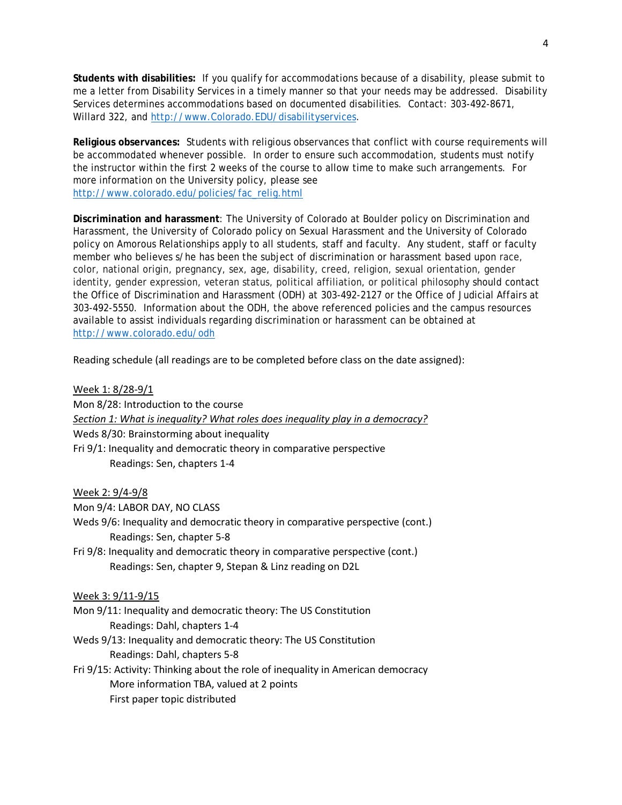**Students with disabilities:** If you qualify for accommodations because of a disability, please submit to me a letter from Disability Services in a timely manner so that your needs may be addressed. Disability Services determines accommodations based on documented disabilities. Contact: 303-492-8671, Willard 322, and [http://www.Colorado.EDU/disabilityservices.](http://www.colorado.edu/disabilityservices)

**Religious observances:** Students with religious observances that conflict with course requirements will be accommodated whenever possible. In order to ensure such accommodation, students must notify the instructor within the first 2 weeks of the course to allow time to make such arrangements. For more information on the University policy, please see [http://www.colorado.edu/policies/fac\\_relig.html](http://www.colorado.edu/policies/fac_relig.html)

**Discrimination and harassment**: The University of Colorado at Boulder policy on Discrimination and Harassment, the University of Colorado policy on Sexual Harassment and the University of Colorado policy on Amorous Relationships apply to all students, staff and faculty. Any student, staff or faculty member who believes s/he has been the subject of discrimination or harassment based upon race, color, national origin, pregnancy, sex, age, disability, creed, religion, sexual orientation, gender identity, gender expression, veteran status, political affiliation, or political philosophy should contact the Office of Discrimination and Harassment (ODH) at 303-492-2127 or the Office of Judicial Affairs at 303-492-5550. Information about the ODH, the above referenced policies and the campus resources available to assist individuals regarding discrimination or harassment can be obtained at <http://www.colorado.edu/odh>

Reading schedule (all readings are to be completed before class on the date assigned):

Week 1: 8/28-9/1 Mon 8/28: Introduction to the course *Section 1: What is inequality? What roles does inequality play in a democracy?* Weds 8/30: Brainstorming about inequality Fri 9/1: Inequality and democratic theory in comparative perspective Readings: Sen, chapters 1-4

Week 2: 9/4-9/8

Mon 9/4: LABOR DAY, NO CLASS

Weds 9/6: Inequality and democratic theory in comparative perspective (cont.) Readings: Sen, chapter 5-8

Fri 9/8: Inequality and democratic theory in comparative perspective (cont.) Readings: Sen, chapter 9, Stepan & Linz reading on D2L

Week 3: 9/11-9/15

Mon 9/11: Inequality and democratic theory: The US Constitution Readings: Dahl, chapters 1-4

Weds 9/13: Inequality and democratic theory: The US Constitution Readings: Dahl, chapters 5-8

Fri 9/15: Activity: Thinking about the role of inequality in American democracy More information TBA, valued at 2 points First paper topic distributed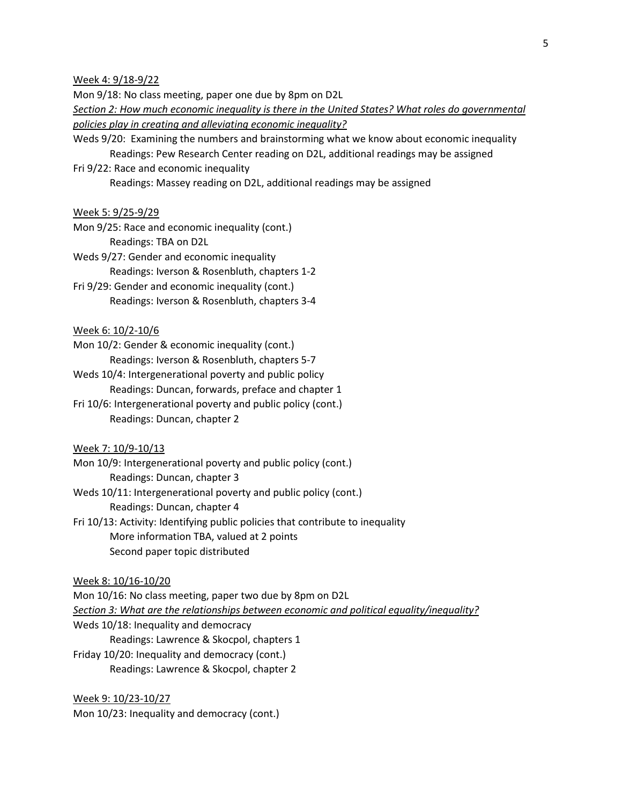Week 4: 9/18-9/22

Mon 9/18: No class meeting, paper one due by 8pm on D2L

- *Section 2: How much economic inequality is there in the United States? What roles do governmental policies play in creating and alleviating economic inequality?*
- Weds 9/20: Examining the numbers and brainstorming what we know about economic inequality Readings: Pew Research Center reading on D2L, additional readings may be assigned
- Fri 9/22: Race and economic inequality

Readings: Massey reading on D2L, additional readings may be assigned

#### Week 5: 9/25-9/29

- Mon 9/25: Race and economic inequality (cont.) Readings: TBA on D2L
- Weds 9/27: Gender and economic inequality
	- Readings: Iverson & Rosenbluth, chapters 1-2
- Fri 9/29: Gender and economic inequality (cont.) Readings: Iverson & Rosenbluth, chapters 3-4

# Week 6: 10/2-10/6

- Mon 10/2: Gender & economic inequality (cont.) Readings: Iverson & Rosenbluth, chapters 5-7
- Weds 10/4: Intergenerational poverty and public policy Readings: Duncan, forwards, preface and chapter 1
- Fri 10/6: Intergenerational poverty and public policy (cont.) Readings: Duncan, chapter 2

# Week 7: 10/9-10/13

- Mon 10/9: Intergenerational poverty and public policy (cont.) Readings: Duncan, chapter 3
- Weds 10/11: Intergenerational poverty and public policy (cont.) Readings: Duncan, chapter 4
- Fri 10/13: Activity: Identifying public policies that contribute to inequality More information TBA, valued at 2 points Second paper topic distributed

### Week 8: 10/16-10/20

Mon 10/16: No class meeting, paper two due by 8pm on D2L *Section 3: What are the relationships between economic and political equality/inequality?* Weds 10/18: Inequality and democracy Readings: Lawrence & Skocpol, chapters 1 Friday 10/20: Inequality and democracy (cont.) Readings: Lawrence & Skocpol, chapter 2

Week 9: 10/23-10/27 Mon 10/23: Inequality and democracy (cont.)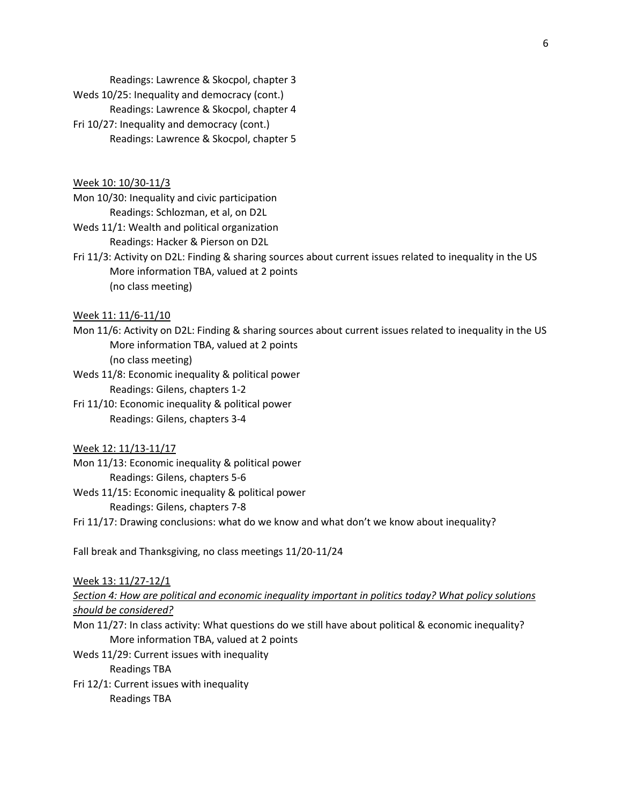Readings: Lawrence & Skocpol, chapter 3

Weds 10/25: Inequality and democracy (cont.)

Readings: Lawrence & Skocpol, chapter 4

Fri 10/27: Inequality and democracy (cont.) Readings: Lawrence & Skocpol, chapter 5

Week 10: 10/30-11/3

Mon 10/30: Inequality and civic participation Readings: Schlozman, et al, on D2L

- Weds 11/1: Wealth and political organization Readings: Hacker & Pierson on D2L
- Fri 11/3: Activity on D2L: Finding & sharing sources about current issues related to inequality in the US More information TBA, valued at 2 points (no class meeting)

Week 11: 11/6-11/10

- Mon 11/6: Activity on D2L: Finding & sharing sources about current issues related to inequality in the US More information TBA, valued at 2 points (no class meeting)
- Weds 11/8: Economic inequality & political power Readings: Gilens, chapters 1-2
- Fri 11/10: Economic inequality & political power Readings: Gilens, chapters 3-4

# Week 12: 11/13-11/17

- Mon 11/13: Economic inequality & political power Readings: Gilens, chapters 5-6
- Weds 11/15: Economic inequality & political power Readings: Gilens, chapters 7-8
- Fri 11/17: Drawing conclusions: what do we know and what don't we know about inequality?

Fall break and Thanksgiving, no class meetings 11/20-11/24

Week 13: 11/27-12/1

*Section 4: How are political and economic inequality important in politics today? What policy solutions should be considered?* 

- Mon 11/27: In class activity: What questions do we still have about political & economic inequality? More information TBA, valued at 2 points
- Weds 11/29: Current issues with inequality

Readings TBA

Fri 12/1: Current issues with inequality Readings TBA